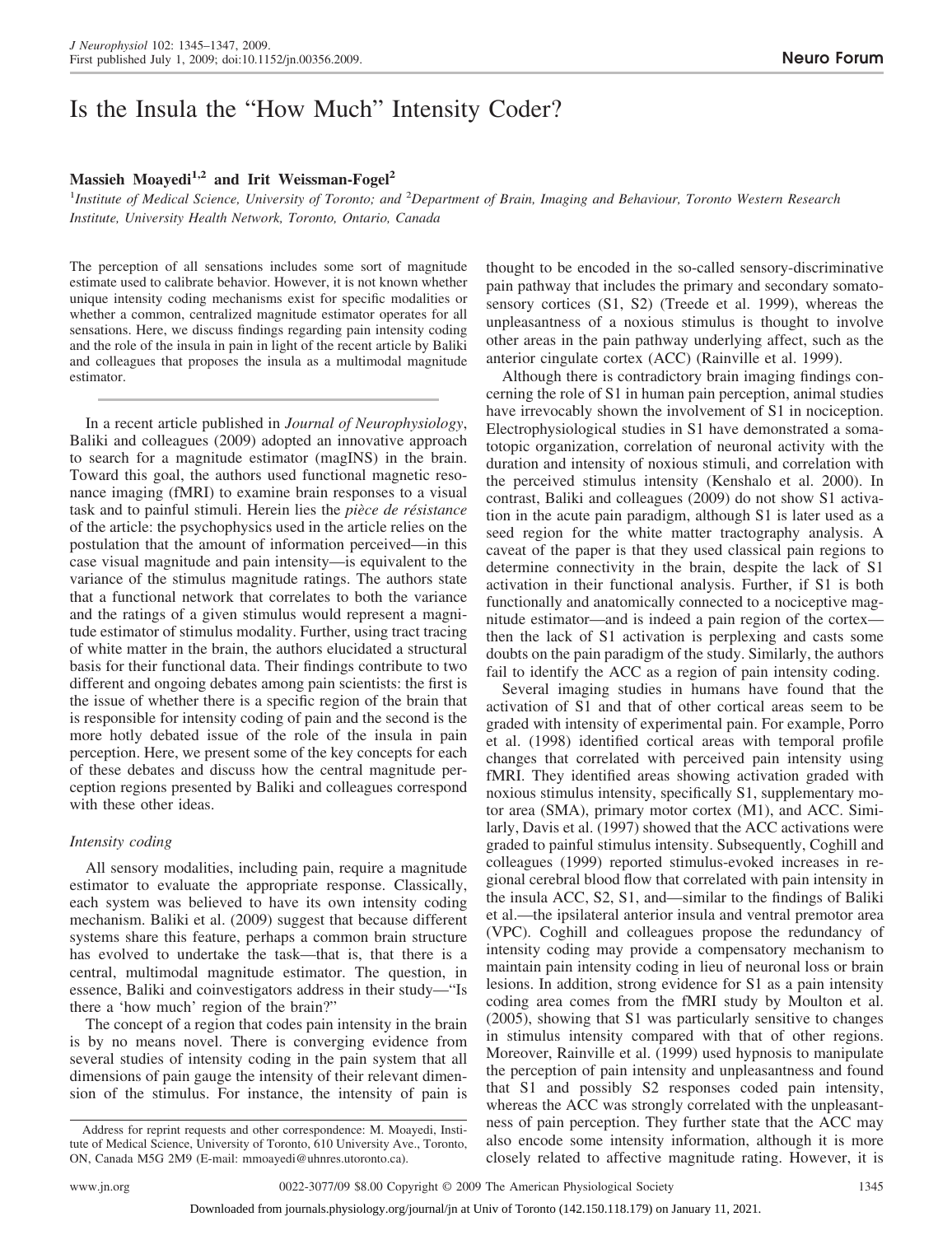## **Massieh Moayedi1,2 and Irit Weissman-Fogel<sup>2</sup>**

1 *Institute of Medical Science, University of Toronto; and* <sup>2</sup> *Department of Brain, Imaging and Behaviour, Toronto Western Research Institute, University Health Network, Toronto, Ontario, Canada*

The perception of all sensations includes some sort of magnitude estimate used to calibrate behavior. However, it is not known whether unique intensity coding mechanisms exist for specific modalities or whether a common, centralized magnitude estimator operates for all sensations. Here, we discuss findings regarding pain intensity coding and the role of the insula in pain in light of the recent article by Baliki and colleagues that proposes the insula as a multimodal magnitude estimator.

In a recent article published in *Journal of Neurophysiology*, Baliki and colleagues (2009) adopted an innovative approach to search for a magnitude estimator (magINS) in the brain. Toward this goal, the authors used functional magnetic resonance imaging (fMRI) to examine brain responses to a visual task and to painful stimuli. Herein lies the *pièce de résistance* of the article: the psychophysics used in the article relies on the postulation that the amount of information perceived—in this case visual magnitude and pain intensity—is equivalent to the variance of the stimulus magnitude ratings. The authors state that a functional network that correlates to both the variance and the ratings of a given stimulus would represent a magnitude estimator of stimulus modality. Further, using tract tracing of white matter in the brain, the authors elucidated a structural basis for their functional data. Their findings contribute to two different and ongoing debates among pain scientists: the first is the issue of whether there is a specific region of the brain that is responsible for intensity coding of pain and the second is the more hotly debated issue of the role of the insula in pain perception. Here, we present some of the key concepts for each of these debates and discuss how the central magnitude perception regions presented by Baliki and colleagues correspond with these other ideas.

## *Intensity coding*

All sensory modalities, including pain, require a magnitude estimator to evaluate the appropriate response. Classically, each system was believed to have its own intensity coding mechanism. Baliki et al. (2009) suggest that because different systems share this feature, perhaps a common brain structure has evolved to undertake the task—that is, that there is a central, multimodal magnitude estimator. The question, in essence, Baliki and coinvestigators address in their study—"Is there a 'how much' region of the brain?"

The concept of a region that codes pain intensity in the brain is by no means novel. There is converging evidence from several studies of intensity coding in the pain system that all dimensions of pain gauge the intensity of their relevant dimension of the stimulus. For instance, the intensity of pain is thought to be encoded in the so-called sensory-discriminative pain pathway that includes the primary and secondary somatosensory cortices (S1, S2) (Treede et al. 1999), whereas the unpleasantness of a noxious stimulus is thought to involve other areas in the pain pathway underlying affect, such as the anterior cingulate cortex (ACC) (Rainville et al. 1999).

Although there is contradictory brain imaging findings concerning the role of S1 in human pain perception, animal studies have irrevocably shown the involvement of S1 in nociception. Electrophysiological studies in S1 have demonstrated a somatotopic organization, correlation of neuronal activity with the duration and intensity of noxious stimuli, and correlation with the perceived stimulus intensity (Kenshalo et al. 2000). In contrast, Baliki and colleagues (2009) do not show S1 activation in the acute pain paradigm, although S1 is later used as a seed region for the white matter tractography analysis. A caveat of the paper is that they used classical pain regions to determine connectivity in the brain, despite the lack of S1 activation in their functional analysis. Further, if S1 is both functionally and anatomically connected to a nociceptive magnitude estimator—and is indeed a pain region of the cortex then the lack of S1 activation is perplexing and casts some doubts on the pain paradigm of the study. Similarly, the authors fail to identify the ACC as a region of pain intensity coding.

Several imaging studies in humans have found that the activation of S1 and that of other cortical areas seem to be graded with intensity of experimental pain. For example, Porro et al. (1998) identified cortical areas with temporal profile changes that correlated with perceived pain intensity using fMRI. They identified areas showing activation graded with noxious stimulus intensity, specifically S1, supplementary motor area (SMA), primary motor cortex (M1), and ACC. Similarly, Davis et al. (1997) showed that the ACC activations were graded to painful stimulus intensity. Subsequently, Coghill and colleagues (1999) reported stimulus-evoked increases in regional cerebral blood flow that correlated with pain intensity in the insula ACC, S2, S1, and—similar to the findings of Baliki et al.—the ipsilateral anterior insula and ventral premotor area (VPC). Coghill and colleagues propose the redundancy of intensity coding may provide a compensatory mechanism to maintain pain intensity coding in lieu of neuronal loss or brain lesions. In addition, strong evidence for S1 as a pain intensity coding area comes from the fMRI study by Moulton et al. (2005), showing that S1 was particularly sensitive to changes in stimulus intensity compared with that of other regions. Moreover, Rainville et al. (1999) used hypnosis to manipulate the perception of pain intensity and unpleasantness and found that S1 and possibly S2 responses coded pain intensity, whereas the ACC was strongly correlated with the unpleasantness of pain perception. They further state that the ACC may also encode some intensity information, although it is more closely related to affective magnitude rating. However, it is

Address for reprint requests and other correspondence: M. Moayedi, Institute of Medical Science, University of Toronto, 610 University Ave., Toronto, ON, Canada M5G 2M9 (E-mail: mmoayedi@uhnres.utoronto.ca).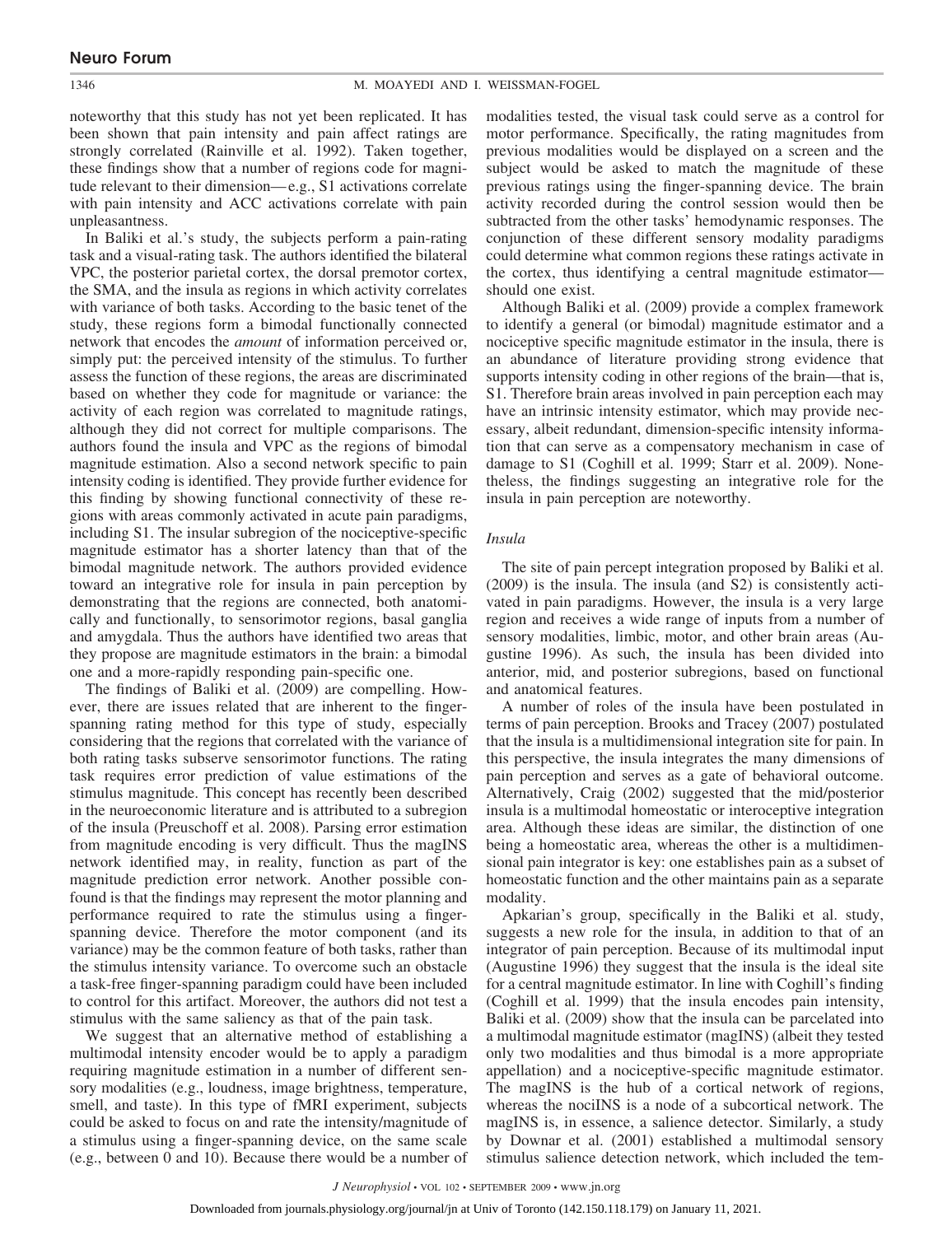noteworthy that this study has not yet been replicated. It has been shown that pain intensity and pain affect ratings are strongly correlated (Rainville et al. 1992). Taken together, these findings show that a number of regions code for magnitude relevant to their dimension—e.g., S1 activations correlate with pain intensity and ACC activations correlate with pain unpleasantness.

In Baliki et al.'s study, the subjects perform a pain-rating task and a visual-rating task. The authors identified the bilateral VPC, the posterior parietal cortex, the dorsal premotor cortex, the SMA, and the insula as regions in which activity correlates with variance of both tasks. According to the basic tenet of the study, these regions form a bimodal functionally connected network that encodes the *amount* of information perceived or, simply put: the perceived intensity of the stimulus. To further assess the function of these regions, the areas are discriminated based on whether they code for magnitude or variance: the activity of each region was correlated to magnitude ratings, although they did not correct for multiple comparisons. The authors found the insula and VPC as the regions of bimodal magnitude estimation. Also a second network specific to pain intensity coding is identified. They provide further evidence for this finding by showing functional connectivity of these regions with areas commonly activated in acute pain paradigms, including S1. The insular subregion of the nociceptive-specific magnitude estimator has a shorter latency than that of the bimodal magnitude network. The authors provided evidence toward an integrative role for insula in pain perception by demonstrating that the regions are connected, both anatomically and functionally, to sensorimotor regions, basal ganglia and amygdala. Thus the authors have identified two areas that they propose are magnitude estimators in the brain: a bimodal one and a more-rapidly responding pain-specific one.

The findings of Baliki et al. (2009) are compelling. However, there are issues related that are inherent to the fingerspanning rating method for this type of study, especially considering that the regions that correlated with the variance of both rating tasks subserve sensorimotor functions. The rating task requires error prediction of value estimations of the stimulus magnitude. This concept has recently been described in the neuroeconomic literature and is attributed to a subregion of the insula (Preuschoff et al. 2008). Parsing error estimation from magnitude encoding is very difficult. Thus the magINS network identified may, in reality, function as part of the magnitude prediction error network. Another possible confound is that the findings may represent the motor planning and performance required to rate the stimulus using a fingerspanning device. Therefore the motor component (and its variance) may be the common feature of both tasks, rather than the stimulus intensity variance. To overcome such an obstacle a task-free finger-spanning paradigm could have been included to control for this artifact. Moreover, the authors did not test a stimulus with the same saliency as that of the pain task.

We suggest that an alternative method of establishing a multimodal intensity encoder would be to apply a paradigm requiring magnitude estimation in a number of different sensory modalities (e.g., loudness, image brightness, temperature, smell, and taste). In this type of fMRI experiment, subjects could be asked to focus on and rate the intensity/magnitude of a stimulus using a finger-spanning device, on the same scale (e.g., between 0 and 10). Because there would be a number of modalities tested, the visual task could serve as a control for motor performance. Specifically, the rating magnitudes from previous modalities would be displayed on a screen and the subject would be asked to match the magnitude of these previous ratings using the finger-spanning device. The brain activity recorded during the control session would then be subtracted from the other tasks' hemodynamic responses. The conjunction of these different sensory modality paradigms could determine what common regions these ratings activate in the cortex, thus identifying a central magnitude estimator should one exist.

Although Baliki et al. (2009) provide a complex framework to identify a general (or bimodal) magnitude estimator and a nociceptive specific magnitude estimator in the insula, there is an abundance of literature providing strong evidence that supports intensity coding in other regions of the brain—that is, S1. Therefore brain areas involved in pain perception each may have an intrinsic intensity estimator, which may provide necessary, albeit redundant, dimension-specific intensity information that can serve as a compensatory mechanism in case of damage to S1 (Coghill et al. 1999; Starr et al. 2009). Nonetheless, the findings suggesting an integrative role for the insula in pain perception are noteworthy.

## *Insula*

The site of pain percept integration proposed by Baliki et al. (2009) is the insula. The insula (and S2) is consistently activated in pain paradigms. However, the insula is a very large region and receives a wide range of inputs from a number of sensory modalities, limbic, motor, and other brain areas (Augustine 1996). As such, the insula has been divided into anterior, mid, and posterior subregions, based on functional and anatomical features.

A number of roles of the insula have been postulated in terms of pain perception. Brooks and Tracey (2007) postulated that the insula is a multidimensional integration site for pain. In this perspective, the insula integrates the many dimensions of pain perception and serves as a gate of behavioral outcome. Alternatively, Craig (2002) suggested that the mid/posterior insula is a multimodal homeostatic or interoceptive integration area. Although these ideas are similar, the distinction of one being a homeostatic area, whereas the other is a multidimensional pain integrator is key: one establishes pain as a subset of homeostatic function and the other maintains pain as a separate modality.

Apkarian's group, specifically in the Baliki et al. study, suggests a new role for the insula, in addition to that of an integrator of pain perception. Because of its multimodal input (Augustine 1996) they suggest that the insula is the ideal site for a central magnitude estimator. In line with Coghill's finding (Coghill et al. 1999) that the insula encodes pain intensity, Baliki et al. (2009) show that the insula can be parcelated into a multimodal magnitude estimator (magINS) (albeit they tested only two modalities and thus bimodal is a more appropriate appellation) and a nociceptive-specific magnitude estimator. The magINS is the hub of a cortical network of regions, whereas the nociINS is a node of a subcortical network. The magINS is, in essence, a salience detector. Similarly, a study by Downar et al. (2001) established a multimodal sensory stimulus salience detection network, which included the tem